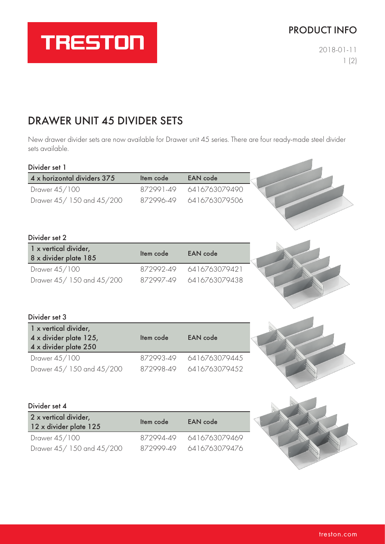### PRODUCT INFO

 $\sim$ 

2018-01-11 1 (2)

# DRAWER UNIT 45 DIVIDER SETS

**TRESTON** 

New drawer divider sets are now available for Drawer unit 45 series. There are four ready-made steel divider sets available.

| Divider set 1                                  |           |                 |  |
|------------------------------------------------|-----------|-----------------|--|
| 4 x horizontal dividers 375                    | Item code | <b>EAN</b> code |  |
| Drawer 45/100                                  | 872991-49 | 6416763079490   |  |
| Drawer 45/150 and 45/200                       | 872996-49 | 6416763079506   |  |
|                                                |           |                 |  |
|                                                |           |                 |  |
| Divider set 2                                  |           |                 |  |
| 1 x vertical divider,<br>8 x divider plate 185 | Item code | <b>EAN</b> code |  |
| Drawer 45/100                                  | 872992-49 | 6416763079421   |  |
| Drawer 45/150 and 45/200                       | 872997-49 | 6416763079438   |  |
|                                                |           |                 |  |
|                                                |           |                 |  |
| Divider set 3                                  |           |                 |  |
| 1 x vertical divider,                          |           |                 |  |
| 4 x divider plate 125,                         | Item code | <b>EAN</b> code |  |
| 4 x divider plate 250                          |           |                 |  |
| Drawer 45/100                                  | 872993-49 | 6416763079445   |  |
| Drawer 45/150 and 45/200                       | 872998-49 | 6416763079452   |  |
|                                                |           |                 |  |
|                                                |           |                 |  |
| Divider set 4                                  |           |                 |  |
| 2 x vertical divider,                          | Item code | <b>EAN</b> code |  |
| 12 x divider plate 125                         |           |                 |  |
| Drawer 45/100                                  | 872994-49 | 6416763079469   |  |
| Drawer 45/150 and 45/200                       | 872999-49 | 6416763079476   |  |
|                                                |           |                 |  |
|                                                |           |                 |  |